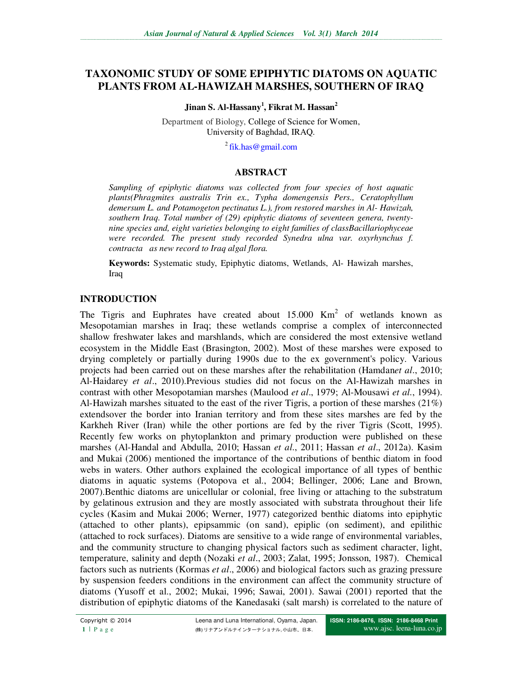# **TAXONOMIC STUDY OF SOME EPIPHYTIC DIATOMS ON AQUATIC PLANTS FROM AL-HAWIZAH MARSHES, SOUTHERN OF IRAQ**

**Jinan S. Al-Hassany<sup>1</sup> , Fikrat M. Hassan<sup>2</sup>**

Department of Biology, College of Science for Women, University of Baghdad, IRAQ.

 $2$ fik.has@gmail.com

## **ABSTRACT**

*Sampling of epiphytic diatoms was collected from four species of host aquatic plants(Phragmites australis Trin ex., Typha domengensis Pers., Ceratophyllum demersum L. and Potamogeton pectinatus L.), from restored marshes in Al- Hawizah, southern Iraq. Total number of (29) epiphytic diatoms of seventeen genera, twentynine species and, eight varieties belonging to eight families of classBacillariophyceae were recorded. The present study recorded Synedra ulna var. oxyrhynchus f. contracta as new record to Iraq algal flora.* 

**Keywords:** Systematic study, Epiphytic diatoms, Wetlands, Al- Hawizah marshes, Iraq

## **INTRODUCTION**

The Tigris and Euphrates have created about  $15.000 \text{ Km}^2$  of wetlands known as Mesopotamian marshes in Iraq; these wetlands comprise a complex of interconnected shallow freshwater lakes and marshlands, which are considered the most extensive wetland ecosystem in the Middle East (Brasington, 2002). Most of these marshes were exposed to drying completely or partially during 1990s due to the ex government's policy. Various projects had been carried out on these marshes after the rehabilitation (Hamdan*et al*., 2010; Al-Haidarey *et al*., 2010).Previous studies did not focus on the Al-Hawizah marshes in contrast with other Mesopotamian marshes (Maulood *et al*., 1979; Al-Mousawi *et al*., 1994). Al-Hawizah marshes situated to the east of the river Tigris, a portion of these marshes (21%) extendsover the border into Iranian territory and from these sites marshes are fed by the Karkheh River (Iran) while the other portions are fed by the river Tigris (Scott, 1995). Recently few works on phytoplankton and primary production were published on these marshes (Al-Handal and Abdulla, 2010; Hassan *et al*., 2011; Hassan *et al*., 2012a). Kasim and Mukai (2006) mentioned the importance of the contributions of benthic diatom in food webs in waters. Other authors explained the ecological importance of all types of benthic diatoms in aquatic systems (Potopova et al., 2004; Bellinger, 2006; Lane and Brown, 2007).Benthic diatoms are unicellular or colonial, free living or attaching to the substratum by gelatinous extrusion and they are mostly associated with substrata throughout their life cycles (Kasim and Mukai 2006; Werner, 1977) categorized benthic diatoms into epiphytic (attached to other plants), epipsammic (on sand), epiplic (on sediment), and epilithic (attached to rock surfaces). Diatoms are sensitive to a wide range of environmental variables, and the community structure to changing physical factors such as sediment character, light, temperature, salinity and depth (Nozaki *et al*., 2003; Zalat, 1995; Jonsson, 1987). Chemical factors such as nutrients (Kormas *et al*., 2006) and biological factors such as grazing pressure by suspension feeders conditions in the environment can affect the community structure of diatoms (Yusoff et al., 2002; Mukai, 1996; Sawai, 2001). Sawai (2001) reported that the distribution of epiphytic diatoms of the Kanedasaki (salt marsh) is correlated to the nature of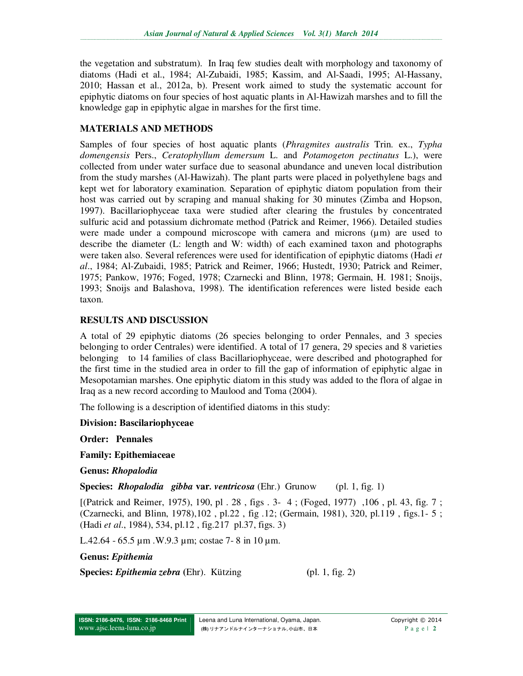the vegetation and substratum). In Iraq few studies dealt with morphology and taxonomy of diatoms (Hadi et al., 1984; Al-Zubaidi, 1985; Kassim, and Al-Saadi, 1995; Al-Hassany, 2010; Hassan et al., 2012a, b). Present work aimed to study the systematic account for epiphytic diatoms on four species of host aquatic plants in Al-Hawizah marshes and to fill the knowledge gap in epiphytic algae in marshes for the first time.

# **MATERIALS AND METHODS**

Samples of four species of host aquatic plants (*Phragmites australis* Trin. ex., *Typha domengensis* Pers., *Ceratophyllum demersum* L. and *Potamogeton pectinatus* L.), were collected from under water surface due to seasonal abundance and uneven local distribution from the study marshes (Al-Hawizah). The plant parts were placed in polyethylene bags and kept wet for laboratory examination. Separation of epiphytic diatom population from their host was carried out by scraping and manual shaking for 30 minutes (Zimba and Hopson, 1997). Bacillariophyceae taxa were studied after clearing the frustules by concentrated sulfuric acid and potassium dichromate method (Patrick and Reimer, 1966). Detailed studies were made under a compound microscope with camera and microns  $(\mu m)$  are used to describe the diameter (L: length and W: width) of each examined taxon and photographs were taken also. Several references were used for identification of epiphytic diatoms (Hadi *et al*., 1984; Al-Zubaidi, 1985; Patrick and Reimer, 1966; Hustedt, 1930; Patrick and Reimer, 1975; Pankow, 1976; Foged, 1978; Czarnecki and Blinn, 1978; Germain, H. 1981; Snoijs, 1993; Snoijs and Balashova, 1998). The identification references were listed beside each taxon.

# **RESULTS AND DISCUSSION**

A total of 29 epiphytic diatoms (26 species belonging to order Pennales, and 3 species belonging to order Centrales) were identified. A total of 17 genera, 29 species and 8 varieties belonging to 14 families of class Bacillariophyceae, were described and photographed for the first time in the studied area in order to fill the gap of information of epiphytic algae in Mesopotamian marshes. One epiphytic diatom in this study was added to the flora of algae in Iraq as a new record according to Maulood and Toma (2004).

The following is a description of identified diatoms in this study:

**Division: Bascilariophyceae** 

**Order: Pennales** 

**Family: Epithemiaceae** 

**Genus:** *Rhopalodia* 

**Species:** *Rhopalodia gibba* **var***. ventricosa* (Ehr.) Grunow (pl. 1, fig. 1)

[(Patrick and Reimer, 1975), 190, pl . 28 , figs . 3- 4 ; (Foged, 1977) ,106 , pl. 43, fig. 7 ; (Czarnecki, and Blinn, 1978),102 , pl.22 , fig .12; (Germain, 1981), 320, pl.119 , figs.1- 5 ; (Hadi *et al*., 1984), 534, pl.12 , fig.217 pl.37, figs. 3)

L.42.64 - 65.5 µm .W.9.3 µm; costae 7- 8 in 10 µm.

**Genus:** *Epithemia*

**Species:** *Epithemia zebra* **(**Ehr). Kützing **(**pl. 1, fig. 2)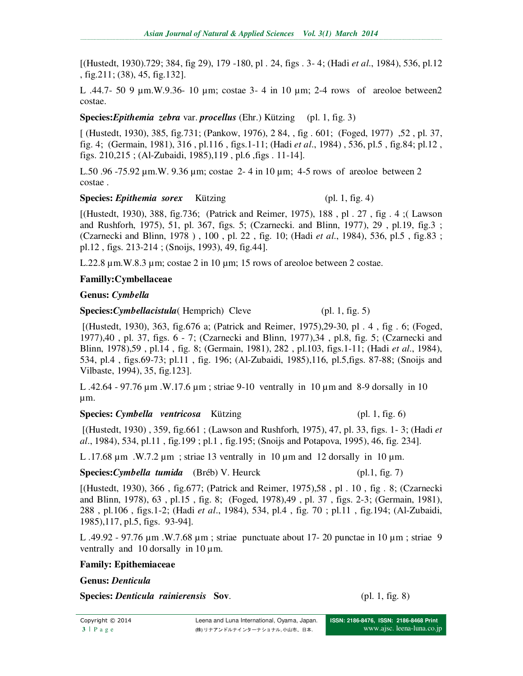[(Hustedt, 1930).729; 384, fig 29), 179 -180, pl . 24, figs . 3- 4; (Hadi *et al*., 1984), 536, pl.12 , fig.211; (38), 45, fig.132].

L .44.7- 50 9 µm.W.9.36- 10 µm; costae 3- 4 in 10 µm; 2-4 rows of areoloe between2 costae.

**Species:***Epithemia zebra* var. *procellus* (Ehr.) Kützing (pl. 1, fig. 3)

[ (Hustedt, 1930), 385, fig.731; (Pankow, 1976), 2 84, , fig . 601; (Foged, 1977) ,52 , pl. 37, fig. 4; (Germain, 1981), 316 , pl.116 , figs.1-11; (Hadi *et al*., 1984) , 536, pl.5 , fig.84; pl.12 , figs. 210,215 ; (Al-Zubaidi, 1985),119 , pl.6 ,figs . 11-14].

L.50 .96 -75.92 μm.W. 9.36 μm; costae 2-4 in 10 μm; 4-5 rows of areoloe between 2 costae .

### **Species:** *Epithemia sorex* Kützing (pl. 1, fig. 4)

[(Hustedt, 1930), 388, fig.736; (Patrick and Reimer, 1975), 188 , pl . 27 , fig . 4 ;( Lawson and Rushforh, 1975), 51, pl. 367, figs. 5; (Czarnecki. and Blinn, 1977), 29 , pl.19, fig.3 ; (Czarnecki and Blinn, 1978 ) , 100 , pl. 22 , fig. 10; (Hadi *et al*., 1984), 536, pl.5 , fig.83 ; pl.12 , figs. 213-214 ; (Snoijs, 1993), 49, fig.44].

L.22.8  $\mu$ m.W.8.3  $\mu$ m; costae 2 in 10  $\mu$ m; 15 rows of areoloe between 2 costae.

# **Familly:Cymbellaceae**

## **Genus:** *Cymbella*

## **Species:***Cymbellacistula*( Hemprich) Cleve (pl. 1, fig. 5)

 [(Hustedt, 1930), 363, fig.676 a; (Patrick and Reimer, 1975),29-30, pl . 4 , fig . 6; (Foged, 1977),40 , pl. 37, figs. 6 - 7; (Czarnecki and Blinn, 1977),34 , pl.8, fig. 5; (Czarnecki and Blinn, 1978),59 , pl.14 , fig. 8; (Germain, 1981), 282 , pl.103, figs.1-11; (Hadi *et al*., 1984), 534, pl.4 , figs.69-73; pl.11 , fig. 196; (Al-Zubaidi, 1985),116, pl.5,figs. 87-88; (Snoijs and Vilbaste, 1994), 35, fig.123].

L .42.64 - 97.76 µm .W.17.6 µm ; striae 9-10 ventrally in 10 µm and 8-9 dorsally in 10 µm.

## **Species:** *Cymbella ventricosa* Kützing (pl. 1, fig. 6)

 [(Hustedt, 1930) , 359, fig.661 ; (Lawson and Rushforh, 1975), 47, pl. 33, figs. 1- 3; (Hadi *et al*., 1984), 534, pl.11 , fig.199 ; pl.1 , fig.195; (Snoijs and Potapova, 1995), 46, fig. 234].

L .17.68  $\mu$ m .W.7.2  $\mu$ m ; striae 13 ventrally in 10  $\mu$ m and 12 dorsally in 10  $\mu$ m.

## **Species:***Cymbella tumida* (Bréb) V. Heurck (pl.1, fig. 7)

[(Hustedt, 1930), 366 , fig.677; (Patrick and Reimer, 1975),58 , pl . 10 , fig . 8; (Czarnecki and Blinn, 1978), 63 , pl.15 , fig. 8; (Foged, 1978),49 , pl. 37 , figs. 2-3; (Germain, 1981), 288 , pl.106 , figs.1-2; (Hadi *et al*., 1984), 534, pl.4 , fig. 70 ; pl.11 , fig.194; (Al-Zubaidi, 1985),117, pl.5, figs. 93-94].

L .49.92 - 97.76 µm .W.7.68 µm ; striae punctuate about 17- 20 punctae in 10 µm ; striae 9 ventrally and  $10$  dorsally in  $10 \mu$ m.

## **Family: Epithemiaceae**

## **Genus:** *Denticula*

**Species:** *Denticula rainierensis* Sov. (pl. 1, fig. 8)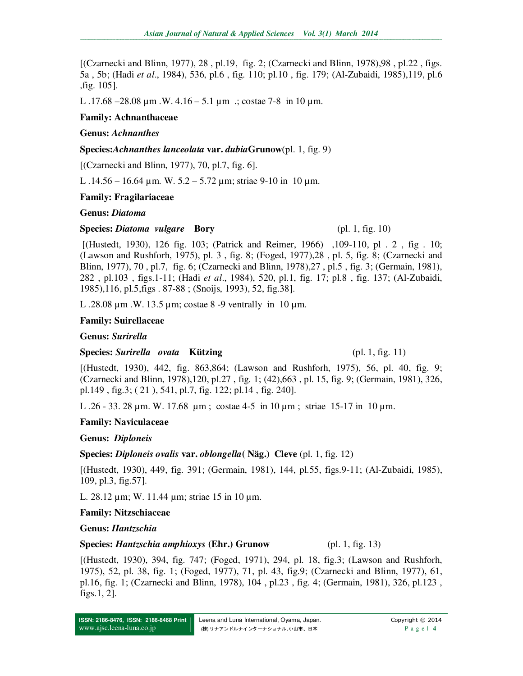[(Czarnecki and Blinn, 1977), 28 , pl.19, fig. 2; (Czarnecki and Blinn, 1978),98 , pl.22 , figs. 5a , 5b; (Hadi *et al*., 1984), 536, pl.6 , fig. 110; pl.10 , fig. 179; (Al-Zubaidi, 1985),119, pl.6 ,fig. 105].

L .17.68 –28.08  $\mu$ m .W. 4.16 – 5.1  $\mu$ m .; costae 7-8 in 10  $\mu$ m.

### **Family: Achnanthaceae**

### **Genus:** *Achnanthes*

#### **Species:***Achnanthes lanceolata* **var.** *dubia***Grunow**(pl. 1, fig. 9)

[(Czarnecki and Blinn, 1977), 70, pl.7, fig. 6].

L .14.56 – 16.64 µm. W. 5.2 – 5.72 µm; striae 9-10 in 10 µm.

### **Family: Fragilariaceae**

### **Genus:** *Diatoma*

### **Species:** *Diatoma vulgare* **Bory** (pl. 1, fig. 10)

 [(Hustedt, 1930), 126 fig. 103; (Patrick and Reimer, 1966) ,109-110, pl . 2 , fig . 10; (Lawson and Rushforh, 1975), pl. 3 , fig. 8; (Foged, 1977),28 , pl. 5, fig. 8; (Czarnecki and Blinn, 1977), 70 , pl.7, fig. 6; (Czarnecki and Blinn, 1978),27 , pl.5 , fig. 3; (Germain, 1981), 282 , pl.103 , figs.1-11; (Hadi *et al*., 1984), 520, pl.1, fig. 17; pl.8 , fig. 137; (Al-Zubaidi, 1985),116, pl.5,figs . 87-88 ; (Snoijs, 1993), 52, fig.38].

L .28.08 µm .W. 13.5 µm; costae 8 -9 ventrally in 10 µm.

### **Family: Suirellaceae**

#### **Genus:** *Surirella*

## **Species:** *Surirella ovata* **<b>Kützing** (pl. 1, fig. 11)

[(Hustedt, 1930), 442, fig. 863,864; (Lawson and Rushforh, 1975), 56, pl. 40, fig. 9; (Czarnecki and Blinn, 1978),120, pl.27 , fig. 1; (42),663 , pl. 15, fig. 9; (Germain, 1981), 326, pl.149 , fig.3; ( 21 ), 541, pl.7, fig. 122; pl.14 , fig. 240].

L .26 - 33. 28 µm. W. 17.68 µm ; costae 4-5 in 10 µm ; striae 15-17 in 10 µm.

#### **Family: Naviculaceae**

## **Genus:** *Diploneis*

**Species:** *Diploneis ovalis* **var.** *oblongella***( Näg.) Cleve** (pl. 1, fig. 12)

[(Hustedt, 1930), 449, fig. 391; (Germain, 1981), 144, pl.55, figs.9-11; (Al-Zubaidi, 1985), 109, pl.3, fig.57].

L. 28.12 µm; W. 11.44 µm; striae 15 in 10 µm.

#### **Family: Nitzschiaceae**

## **Genus:** *Hantzschia*

## **Species:** *Hantzschia amphioxys* (Ehr.) Grunow (pl. 1, fig. 13)

[(Hustedt, 1930), 394, fig. 747; (Foged, 1971), 294, pl. 18, fig.3; (Lawson and Rushforh, 1975), 52, pl. 38, fig. 1; (Foged, 1977), 71, pl. 43, fig.9; (Czarnecki and Blinn, 1977), 61, pl.16, fig. 1; (Czarnecki and Blinn, 1978), 104 , pl.23 , fig. 4; (Germain, 1981), 326, pl.123 , figs.1, 2].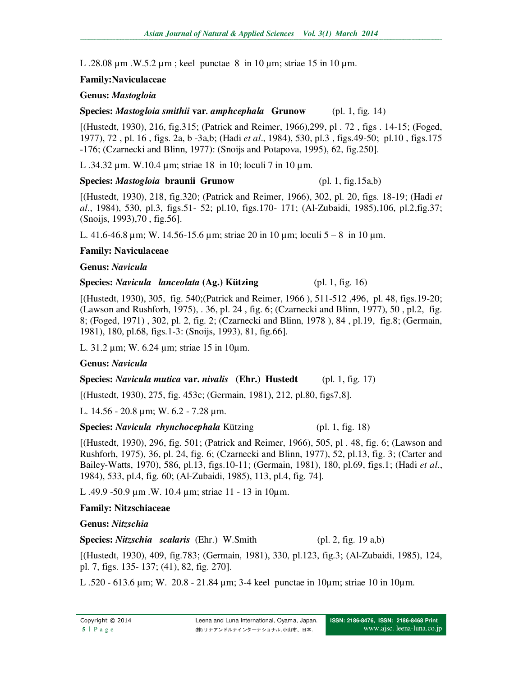L .28.08  $\mu$ m .W.5.2  $\mu$ m; keel punctae 8 in 10  $\mu$ m; striae 15 in 10  $\mu$ m.

## **Family:Naviculaceae**

## **Genus:** *Mastogloia*

**Species:** *Mastogloia smithii* **var***. amphcephala* **Grunow** (pl. 1, fig. 14)

[(Hustedt, 1930), 216, fig.315; (Patrick and Reimer, 1966),299, pl . 72 , figs . 14-15; (Foged, 1977), 72 , pl. 16 , figs. 2a, b -3a,b; (Hadi *et al*., 1984), 530, pl.3 , figs.49-50; pl.10 , figs.175 -176; (Czarnecki and Blinn, 1977): (Snoijs and Potapova, 1995), 62, fig.250].

L .34.32 µm. W.10.4 µm; striae 18 in 10; loculi 7 in 10 µm.

## **Species:** *Mastogloia* **braunii Grunow** (pl. 1, fig.15a,b)

[(Hustedt, 1930), 218, fig.320; (Patrick and Reimer, 1966), 302, pl. 20, figs. 18-19; (Hadi *et al*., 1984), 530, pl.3, figs.51- 52; pl.10, figs.170- 171; (Al-Zubaidi, 1985),106, pl.2,fig.37; (Snoijs, 1993),70 , fig.56].

L. 41.6-46.8 µm; W. 14.56-15.6 µm; striae 20 in 10 µm; loculi 5 – 8 in 10 µm.

# **Family: Naviculaceae**

# **Genus:** *Navicula*

## **Species:** *Navicula lanceolata* **(Ag.) Kützing** (pl. 1, fig. 16)

[(Hustedt, 1930), 305, fig. 540;(Patrick and Reimer, 1966 ), 511-512 ,496, pl. 48, figs.19-20; (Lawson and Rushforh, 1975), . 36, pl. 24 , fig. 6; (Czarnecki and Blinn, 1977), 50 , pl.2, fig. 8; (Foged, 1971) , 302, pl. 2, fig. 2; (Czarnecki and Blinn, 1978 ), 84 , pl.19, fig.8; (Germain, 1981), 180, pl.68, figs.1-3: (Snoijs, 1993), 81, fig.66].

L. 31.2 µm; W. 6.24 µm; striae 15 in 10µm.

# **Genus:** *Navicula*

# **Species:** *Navicula mutica* **var.** *nivalis* **(Ehr.) Hustedt** (pl. 1, fig. 17)

[(Hustedt, 1930), 275, fig. 453c; (Germain, 1981), 212, pl.80, figs7,8].

L. 14.56 - 20.8 µm; W. 6.2 - 7.28 µm.

# **Species:** *Navicula rhynchocephala* Kützing (pl. 1, fig. 18)

[(Hustedt, 1930), 296, fig. 501; (Patrick and Reimer, 1966), 505, pl . 48, fig. 6; (Lawson and Rushforh, 1975), 36, pl. 24, fig. 6; (Czarnecki and Blinn, 1977), 52, pl.13, fig. 3; (Carter and Bailey-Watts, 1970), 586, pl.13, figs.10-11; (Germain, 1981), 180, pl.69, figs.1; (Hadi *et al*., 1984), 533, pl.4, fig. 60; (Al-Zubaidi, 1985), 113, pl.4, fig. 74].

L .49.9 -50.9 µm .W. 10.4 µm; striae 11 - 13 in 10µm.

# **Family: Nitzschiaceae**

# **Genus:** *Nitzschia*

**Species:** *Nitzschia scalaris* (Ehr.) W.Smith (pl. 2, fig. 19 a,b)

[(Hustedt, 1930), 409, fig.783; (Germain, 1981), 330, pl.123, fig.3; (Al-Zubaidi, 1985), 124, pl. 7, figs. 135- 137; (41), 82, fig. 270].

L .520 - 613.6 µm; W. 20.8 - 21.84 µm; 3-4 keel punctae in 10µm; striae 10 in 10µm.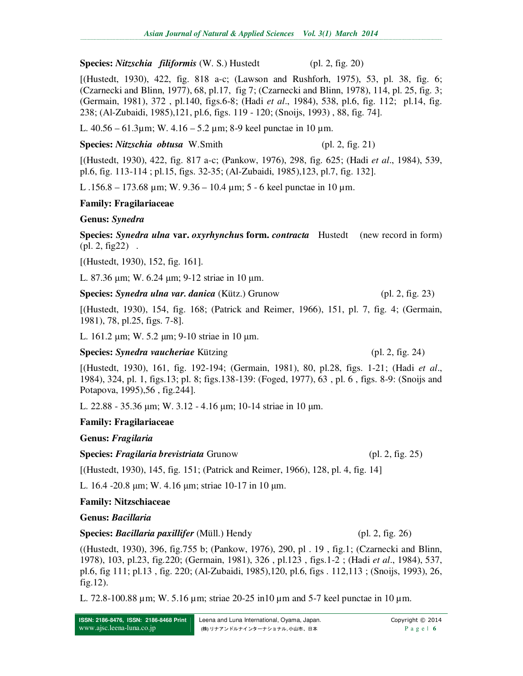#### **Species:** *Nitzschia filiformis* (W. S.) Hustedt (pl. 2, fig. 20)

[(Hustedt, 1930), 422, fig. 818 a-c; (Lawson and Rushforh, 1975), 53, pl. 38, fig. 6; (Czarnecki and Blinn, 1977), 68, pl.17, fig 7; (Czarnecki and Blinn, 1978), 114, pl. 25, fig. 3; (Germain, 1981), 372 , pl.140, figs.6-8; (Hadi *et al*., 1984), 538, pl.6, fig. 112; pl.14, fig. 238; (Al-Zubaidi, 1985),121, pl.6, figs. 119 - 120; (Snoijs, 1993) , 88, fig. 74].

L.  $40.56 - 61.3 \mu m$ ; W.  $4.16 - 5.2 \mu m$ ; 8-9 keel punctae in 10  $\mu$ m.

#### **Species:** *Nitzschia obtusa* W.Smith (pl. 2, fig. 21)

[(Hustedt, 1930), 422, fig. 817 a-c; (Pankow, 1976), 298, fig. 625; (Hadi *et al*., 1984), 539, pl.6, fig. 113-114 ; pl.15, figs. 32-35; (Al-Zubaidi, 1985),123, pl.7, fig. 132].

L .156.8 – 173.68 µm; W. 9.36 – 10.4 µm; 5 - 6 keel punctae in 10 µm.

## **Family: Fragilariaceae**

### **Genus:** *Synedra*

**Species:** *Synedra ulna* **var.** *oxyrhynchu***s form.** *contracta* Hustedt (new record in form)  $(pl. 2, fig22)$ .

[(Hustedt, 1930), 152, fig. 161].

L. 87.36 µm; W. 6.24 µm; 9-12 striae in 10 µm.

**Species:** *Synedra ulna var. danica* (Kütz.) Grunow (pl. 2, fig. 23)

[(Hustedt, 1930), 154, fig. 168; (Patrick and Reimer, 1966), 151, pl. 7, fig. 4; (Germain, 1981), 78, pl.25, figs. 7-8].

L. 161.2 µm; W. 5.2 µm; 9-10 striae in 10 µm.

## **Species:** *Synedra vaucheriae* Kützing (pl. 2, fig. 24)

[(Hustedt, 1930), 161, fig. 192-194; (Germain, 1981), 80, pl.28, figs. 1-21; (Hadi *et al*., 1984), 324, pl. 1, figs.13; pl. 8; figs.138-139: (Foged, 1977), 63 , pl. 6 , figs. 8-9: (Snoijs and Potapova, 1995),56 , fig.244].

L. 22.88 - 35.36 µm; W. 3.12 - 4.16 µm; 10-14 striae in 10 µm.

## **Family: Fragilariaceae**

**Genus:** *Fragilaria*

**Species:** *Fragilaria brevistriata* Grunow (pl. 2, fig. 25)

[(Hustedt, 1930), 145, fig. 151; (Patrick and Reimer, 1966), 128, pl. 4, fig. 14]

L. 16.4 -20.8 µm; W. 4.16 µm; striae 10-17 in 10 µm.

## **Family: Nitzschiaceae**

**Genus:** *Bacillaria*

**Species:** *Bacillaria paxillifer* (Müll.) Hendy (pl. 2, fig. 26)

((Hustedt, 1930), 396, fig.755 b; (Pankow, 1976), 290, pl . 19 , fig.1; (Czarnecki and Blinn, 1978), 103, pl.23, fig.220; (Germain, 1981), 326 , pl.123 , figs.1-2 ; (Hadi *et al*., 1984), 537, pl.6, fig 111; pl.13 , fig. 220; (Al-Zubaidi, 1985),120, pl.6, figs . 112,113 ; (Snoijs, 1993), 26, fig.12).

L. 72.8-100.88  $\mu$ m; W. 5.16  $\mu$ m; striae 20-25 in10  $\mu$ m and 5-7 keel punctae in 10  $\mu$ m.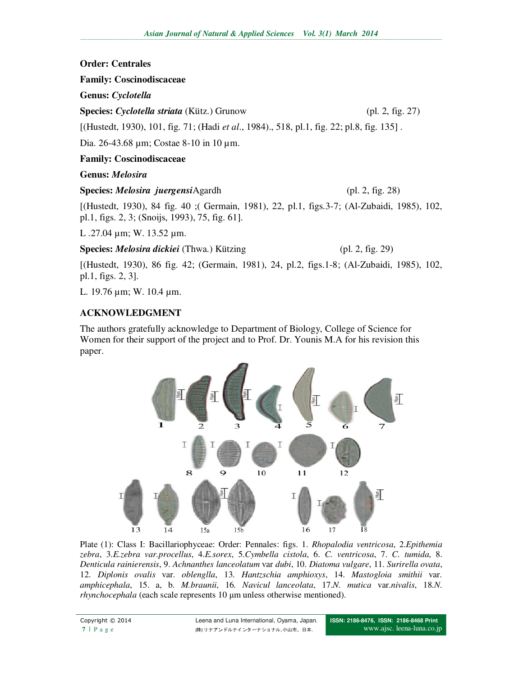# **Order: Centrales**

# **Family: Coscinodiscaceae**

**Genus:** *Cyclotella*

**Species:** *Cyclotella striata* (Kütz.) Grunow (pl. 2, fig. 27)

[(Hustedt, 1930), 101, fig. 71; (Hadi *et al*., 1984)., 518, pl.1, fig. 22; pl.8, fig. 135] .

Dia. 26-43.68 µm; Costae 8-10 in 10 µm.

# **Family: Coscinodiscaceae**

# **Genus:** *Melosira*

**Species:** *Melosira juergensi*Agardh (pl. 2, fig. 28)

[(Hustedt, 1930), 84 fig. 40 ;( Germain, 1981), 22, pl.1, figs.3-7; (Al-Zubaidi, 1985), 102, pl.1, figs. 2, 3; (Snoijs, 1993), 75, fig. 61].

L .27.04 µm; W. 13.52 µm.

**Species:** *Melosira dickiei* (Thwa.) Kützing (pl. 2, fig. 29)

[(Hustedt, 1930), 86 fig. 42; (Germain, 1981), 24, pl.2, figs.1-8; (Al-Zubaidi, 1985), 102, pl.1, figs. 2, 3].

L. 19.76 µm; W. 10.4 µm.

# **ACKNOWLEDGMENT**

The authors gratefully acknowledge to Department of Biology, College of Science for Women for their support of the project and to Prof. Dr. Younis M.A for his revision this paper.



Plate (1): Class I: Bacillariophyceae: Order: Pennales: figs. 1. *Rhopalodia ventricosa*, 2.*Epithemia zebra*, 3.*E.zebra var.procellus*, 4.*E.sorex*, 5.*Cymbella cistola*, 6. *C. ventricosa*, 7. *C. tumida*, 8. *Denticula rainierensis*, 9. *Achnanthes lanceolatum* var *dubi*, 10. *Diatoma vulgare*, 11. *Surirella ovata*, 12. *Diplonis ovalis* var. *oblenglla*, 13. *Hantzschia amphioxys*, 14. *Mastogloia smithii* var. *amphicephala*, 15. a, b. *M.braunii*, 16*. Navicul lanceolata*, 17.*N. mutica* var.*nivalis*, 18.*N*. *rhynchocephala* (each scale represents 10  $\mu$ m unless otherwise mentioned).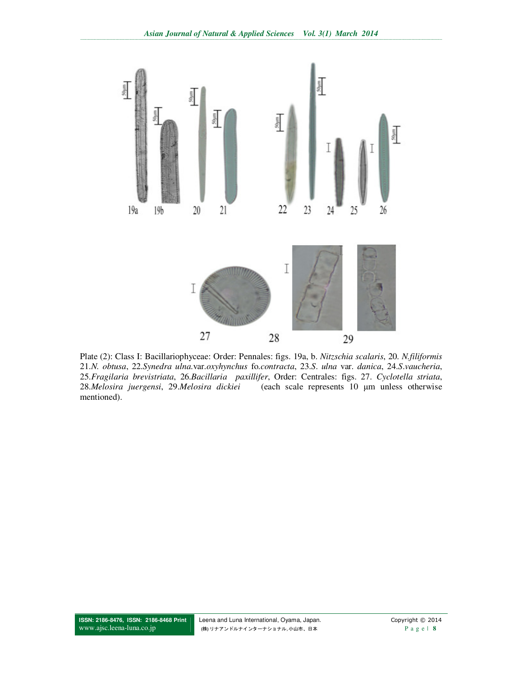

Plate (2): Class I: Bacillariophyceae: Order: Pennales: figs. 19a, b. Nitzschia scalaris, 20. N.filiformis 21.N. obtusa, 22.Synedra ulna.var.oxyhynchus fo.contracta, 23.S. ulna var. danica, 24.S.vaucheria, 25. Fragilaria brevistriata, 26. Bacillaria paxillifer, Order: Centrales: figs. 27. Cyclotella striata, 28. Melosira juergensi, 29. Melosira dickiei (each scale represents 10 µm unless otherwise mentioned).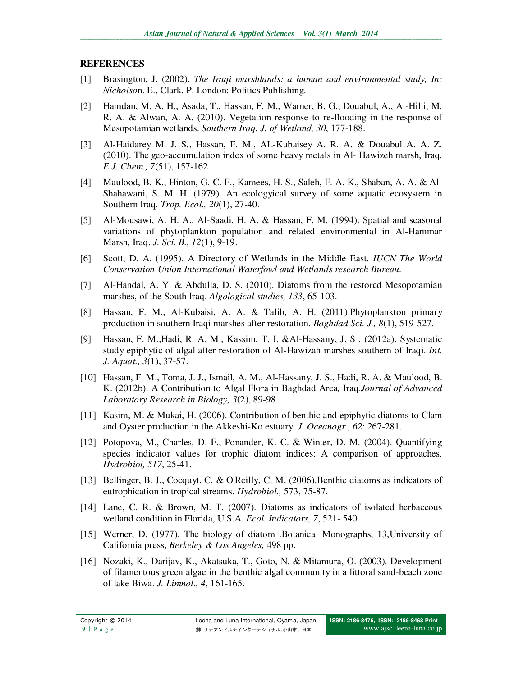# **REFERENCES**

- [1] Brasington, J. (2002). *The Iraqi marshlands: a human and environmental study, In: Nicholso*n. E., Clark. P. London: Politics Publishing.
- [2] Hamdan, M. A. H., Asada, T., Hassan, F. M., Warner, B. G., Douabul, A., Al-Hilli, M. R. A. & Alwan, A. A. (2010). Vegetation response to re-flooding in the response of Mesopotamian wetlands. *Southern Iraq. J. of Wetland, 30*, 177-188.
- [3] Al-Haidarey M. J. S*.*, Hassan, F. M., AL-Kubaisey A. R. A. & Douabul A. A. Z. (2010). The geo-accumulation index of some heavy metals in Al- Hawizeh marsh, Iraq. *E.J. Chem., 7*(51), 157-162.
- [4] Maulood, B. K., Hinton, G. C. F., Kamees, H. S., Saleh, F. A. K., Shaban, A. A. & Al-Shahawani, S. M. H. (1979). An ecologyical survey of some aquatic ecosystem in Southern Iraq. *Trop. Ecol., 20*(1), 27-40.
- [5] Al-Mousawi, A. H. A., Al-Saadi, H. A. & Hassan, F. M. (1994). Spatial and seasonal variations of phytoplankton population and related environmental in Al-Hammar Marsh, Iraq. *J. Sci. B., 12*(1), 9-19.
- [6] Scott, D. A. (1995). A Directory of Wetlands in the Middle East. *IUCN The World Conservation Union International Waterfowl and Wetlands research Bureau.*
- [7] Al-Handal, A. Y. & Abdulla, D. S. (2010). Diatoms from the restored Mesopotamian marshes, of the South Iraq. *Algological studies, 133*, 65-103.
- [8] Hassan, F. M., Al-Kubaisi, A. A. & Talib, A. H. (2011).Phytoplankton primary production in southern Iraqi marshes after restoration. *Baghdad Sci. J., 8*(1), 519-527.
- [9] Hassan, F. M.,Hadi, R. A. M., Kassim, T. I. &Al-Hassany, J. S . (2012a). Systematic study epiphytic of algal after restoration of Al-Hawizah marshes southern of Iraqi. *Int. J. Aquat., 3*(1), 37-57.
- [10] Hassan, F. M., Toma, J. J., Ismail, A. M., Al-Hassany, J. S., Hadi, R. A. & Maulood, B. K. (2012b). A Contribution to Algal Flora in Baghdad Area*,* Iraq*.Journal of Advanced Laboratory Research in Biology, 3*(2), 89-98.
- [11] Kasim, M. & Mukai, H. (2006). Contribution of benthic and epiphytic diatoms to Clam and Oyster production in the Akkeshi-Ko estuary. *J. Oceanogr., 62*: 267-281.
- [12] Potopova, M., Charles, D. F., Ponander, K. C. & Winter, D. M. (2004). Quantifying species indicator values for trophic diatom indices: A comparison of approaches. *Hydrobiol, 517*, 25-41.
- [13] Bellinger, B. J., Cocquyt, C. & O'Reilly, C. M. (2006).Benthic diatoms as indicators of eutrophication in tropical streams. *Hydrobiol.,* 573, 75-87.
- [14] Lane, C. R. & Brown, M. T. (2007). Diatoms as indicators of isolated herbaceous wetland condition in Florida, U.S.A. *Ecol. Indicators, 7*, 521- 540.
- [15] Werner, D. (1977). The biology of diatom .Botanical Monographs, 13,University of California press, *Berkeley & Los Angeles,* 498 pp.
- [16] Nozaki, K., Darijav, K., Akatsuka, T., Goto, N. & Mitamura, O. (2003). Development of filamentous green algae in the benthic algal community in a littoral sand-beach zone of lake Biwa. *J. Limnol., 4*, 161-165.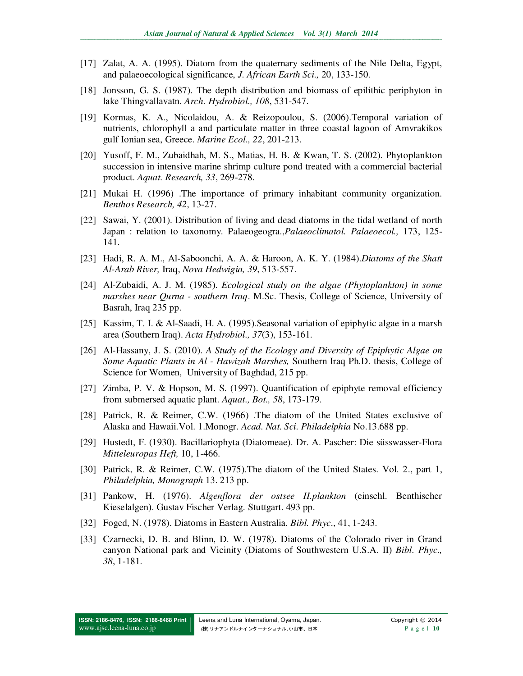- [17] Zalat, A. A. (1995). Diatom from the quaternary sediments of the Nile Delta, Egypt, and palaeoecological significance, *J. African Earth Sci.,* 20, 133-150.
- [18] Jonsson, G. S. (1987). The depth distribution and biomass of epilithic periphyton in lake Thingvallavatn. *Arch. Hydrobiol., 108*, 531-547.
- [19] Kormas, K. A., Nicolaidou, A. & Reizopoulou, S. (2006).Temporal variation of nutrients, chlorophyll a and particulate matter in three coastal lagoon of Amvrakikos gulf Ionian sea, Greece. *Marine Ecol., 22*, 201-213.
- [20] Yusoff, F. M., Zubaidhah, M. S., Matias, H. B. & Kwan, T. S. (2002). Phytoplankton succession in intensive marine shrimp culture pond treated with a commercial bacterial product. *Aquat. Research, 33*, 269-278.
- [21] Mukai H. (1996) .The importance of primary inhabitant community organization. *Benthos Research, 42*, 13-27.
- [22] Sawai, Y. (2001). Distribution of living and dead diatoms in the tidal wetland of north Japan : relation to taxonomy. Palaeogeogra.,*Palaeoclimatol. Palaeoecol.,* 173, 125- 141.
- [23] Hadi, R. A. M., Al-Saboonchi, A. A. & Haroon, A. K. Y. (1984).*Diatoms of the Shatt Al-Arab River,* Iraq, *Nova Hedwigia, 39*, 513-557.
- [24] Al-Zubaidi, A. J. M. (1985). *Ecological study on the algae (Phytoplankton) in some marshes near Qurna - southern Iraq*. M.Sc. Thesis, College of Science, University of Basrah, Iraq 235 pp.
- [25] Kassim, T. I. & Al-Saadi, H. A. (1995).Seasonal variation of epiphytic algae in a marsh area (Southern Iraq). *Acta Hydrobiol., 37*(3), 153-161.
- [26] Al-Hassany, J. S. (2010). *A Study of the Ecology and Diversity of Epiphytic Algae on Some Aquatic Plants in Al - Hawizah Marshes,* Southern Iraq Ph.D. thesis, College of Science for Women, University of Baghdad, 215 pp.
- [27] Zimba, P. V. & Hopson, M. S. (1997). Quantification of epiphyte removal efficiency from submersed aquatic plant. *Aquat., Bot., 58*, 173-179.
- [28] Patrick, R. & Reimer, C.W. (1966) .The diatom of the United States exclusive of Alaska and Hawaii.Vol. 1.Monogr. *Acad. Nat. Sci. Philadelphia* No.13.688 pp.
- [29] Hustedt, F. (1930). Bacillariophyta (Diatomeae). Dr. A. Pascher: Die süsswasser-Flora *Mitteleuropas Heft,* 10, 1-466.
- [30] Patrick, R. & Reimer, C.W. (1975).The diatom of the United States. Vol. 2., part 1, *Philadelphia, Monograph* 13. 213 pp.
- [31] Pankow, H. (1976). *Algenflora der ostsee II.plankton* (einschl. Benthischer Kieselalgen). Gustav Fischer Verlag. Stuttgart. 493 pp.
- [32] Foged, N. (1978). Diatoms in Eastern Australia. *Bibl. Phyc*., 41, 1-243.
- [33] Czarnecki, D. B. and Blinn, D. W. (1978). Diatoms of the Colorado river in Grand canyon National park and Vicinity (Diatoms of Southwestern U.S.A. II) *Bibl. Phyc., 38*, 1-181.